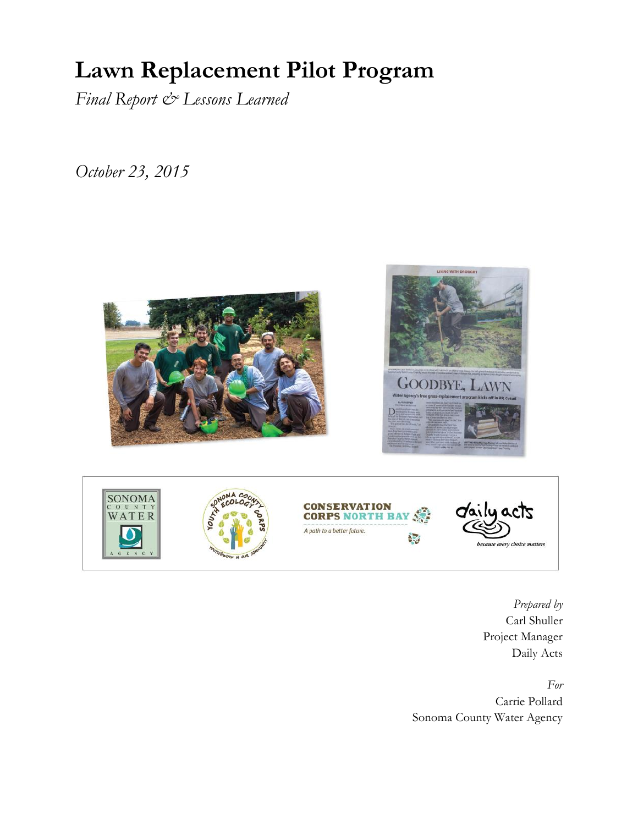# **Lawn Replacement Pilot Program**

*Final Report & Lessons Learned*

*October 23, 2015*



*Prepared by*  Carl Shuller Project Manager Daily Acts

*For* Carrie Pollard Sonoma County Water Agency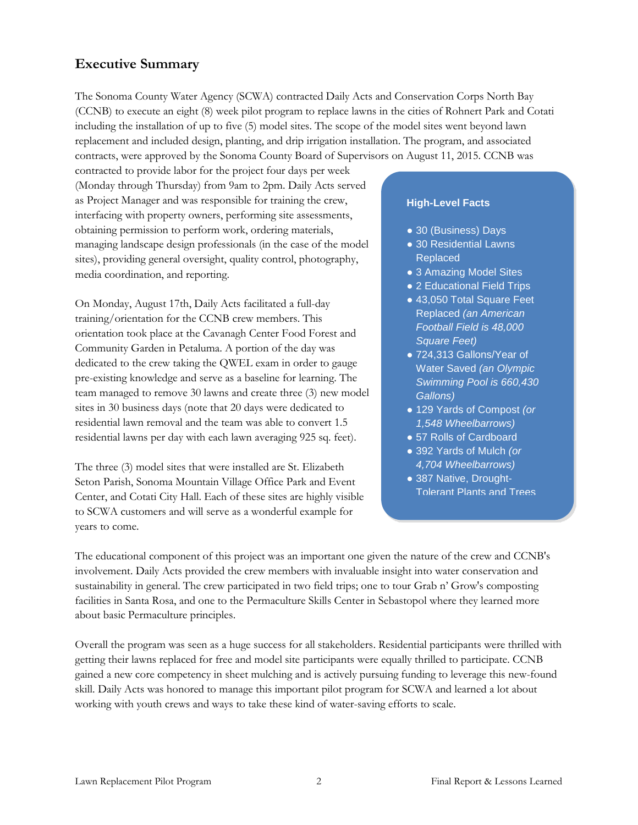#### **Executive Summary**

The Sonoma County Water Agency (SCWA) contracted Daily Acts and Conservation Corps North Bay (CCNB) to execute an eight (8) week pilot program to replace lawns in the cities of Rohnert Park and Cotati including the installation of up to five (5) model sites. The scope of the model sites went beyond lawn replacement and included design, planting, and drip irrigation installation. The program, and associated contracts, were approved by the Sonoma County Board of Supervisors on August 11, 2015. CCNB was

contracted to provide labor for the project four days per week (Monday through Thursday) from 9am to 2pm. Daily Acts served as Project Manager and was responsible for training the crew, interfacing with property owners, performing site assessments, obtaining permission to perform work, ordering materials, managing landscape design professionals (in the case of the model sites), providing general oversight, quality control, photography, media coordination, and reporting.

On Monday, August 17th, Daily Acts facilitated a full-day training/orientation for the CCNB crew members. This orientation took place at the Cavanagh Center Food Forest and Community Garden in Petaluma. A portion of the day was dedicated to the crew taking the QWEL exam in order to gauge pre-existing knowledge and serve as a baseline for learning. The team managed to remove 30 lawns and create three (3) new model sites in 30 business days (note that 20 days were dedicated to residential lawn removal and the team was able to convert 1.5 residential lawns per day with each lawn averaging 925 sq. feet).

The three (3) model sites that were installed are St. Elizabeth Seton Parish, Sonoma Mountain Village Office Park and Event Center, and Cotati City Hall. Each of these sites are highly visible to SCWA customers and will serve as a wonderful example for years to come.

#### **High-Level Facts**

- 30 (Business) Davs
- 30 Residential Lawns Replaced
- 3 Amazing Model Sites
- 2 Educational Field Trips
- 43,050 Total Square Feet Replaced *(an American Football Field is 48,000 Square Feet)*
- 724,313 Gallons/Year of Water Saved *(an Olympic Swimming Pool is 660,430 Gallons)*
- 129 Yards of Compost *(or 1,548 Wheelbarrows)*
- 57 Rolls of Cardboard
- 392 Yards of Mulch *(or 4,704 Wheelbarrows)*
- 387 Native, Drought-Tolerant Plants and Trees

The educational component of this project was an important one given the nature of the crew and CCNB's involvement. Daily Acts provided the crew members with invaluable insight into water conservation and sustainability in general. The crew participated in two field trips; one to tour Grab n' Grow's composting facilities in Santa Rosa, and one to the Permaculture Skills Center in Sebastopol where they learned more about basic Permaculture principles.

Overall the program was seen as a huge success for all stakeholders. Residential participants were thrilled with getting their lawns replaced for free and model site participants were equally thrilled to participate. CCNB gained a new core competency in sheet mulching and is actively pursuing funding to leverage this new-found skill. Daily Acts was honored to manage this important pilot program for SCWA and learned a lot about working with youth crews and ways to take these kind of water-saving efforts to scale.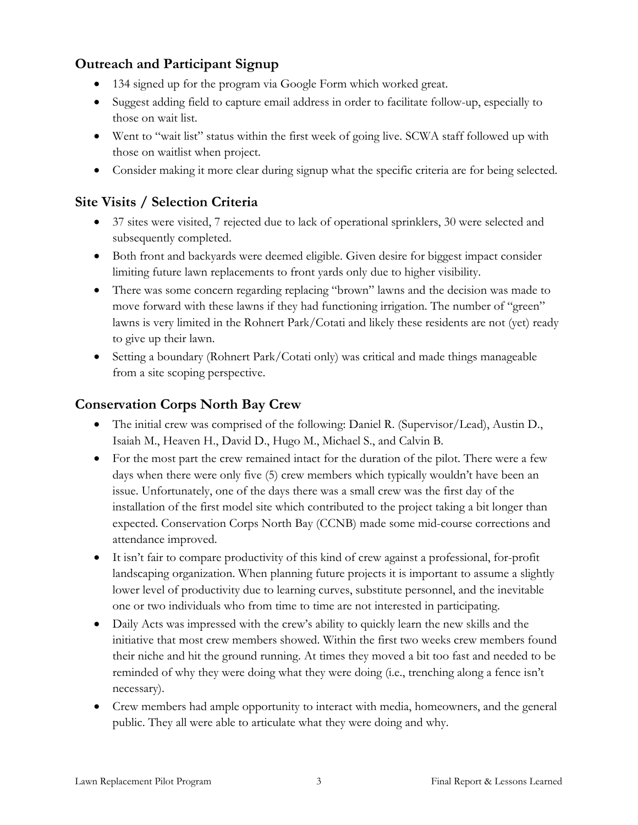## **Outreach and Participant Signup**

- 134 signed up for the program via Google Form which worked great.
- Suggest adding field to capture email address in order to facilitate follow-up, especially to those on wait list.
- Went to "wait list" status within the first week of going live. SCWA staff followed up with those on waitlist when project.
- Consider making it more clear during signup what the specific criteria are for being selected.

## **Site Visits / Selection Criteria**

- 37 sites were visited, 7 rejected due to lack of operational sprinklers, 30 were selected and subsequently completed.
- Both front and backyards were deemed eligible. Given desire for biggest impact consider limiting future lawn replacements to front yards only due to higher visibility.
- There was some concern regarding replacing "brown" lawns and the decision was made to move forward with these lawns if they had functioning irrigation. The number of "green" lawns is very limited in the Rohnert Park/Cotati and likely these residents are not (yet) ready to give up their lawn.
- Setting a boundary (Rohnert Park/Cotati only) was critical and made things manageable from a site scoping perspective.

#### **Conservation Corps North Bay Crew**

- The initial crew was comprised of the following: Daniel R. (Supervisor/Lead), Austin D., Isaiah M., Heaven H., David D., Hugo M., Michael S., and Calvin B.
- For the most part the crew remained intact for the duration of the pilot. There were a few days when there were only five (5) crew members which typically wouldn't have been an issue. Unfortunately, one of the days there was a small crew was the first day of the installation of the first model site which contributed to the project taking a bit longer than expected. Conservation Corps North Bay (CCNB) made some mid-course corrections and attendance improved.
- It isn't fair to compare productivity of this kind of crew against a professional, for-profit landscaping organization. When planning future projects it is important to assume a slightly lower level of productivity due to learning curves, substitute personnel, and the inevitable one or two individuals who from time to time are not interested in participating.
- Daily Acts was impressed with the crew's ability to quickly learn the new skills and the initiative that most crew members showed. Within the first two weeks crew members found their niche and hit the ground running. At times they moved a bit too fast and needed to be reminded of why they were doing what they were doing (i.e., trenching along a fence isn't necessary).
- Crew members had ample opportunity to interact with media, homeowners, and the general public. They all were able to articulate what they were doing and why.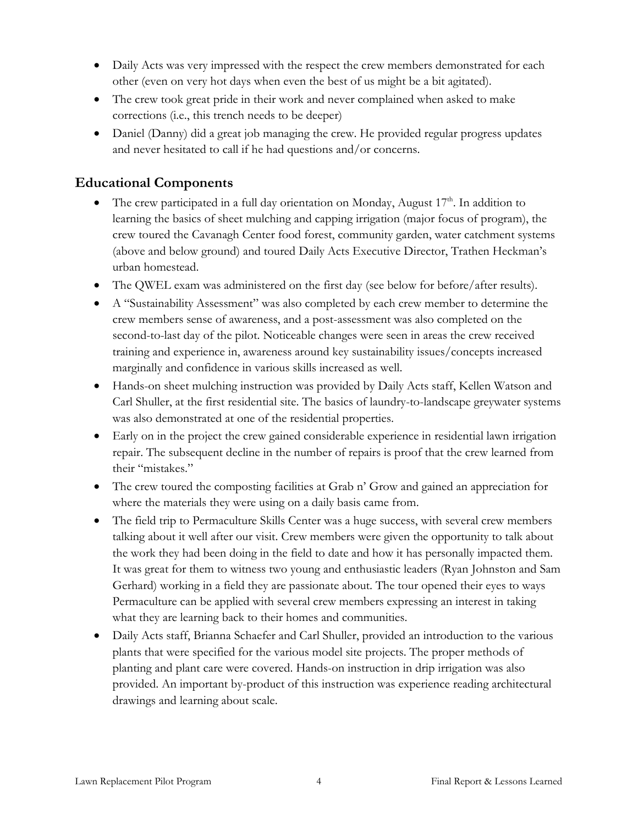- Daily Acts was very impressed with the respect the crew members demonstrated for each other (even on very hot days when even the best of us might be a bit agitated).
- The crew took great pride in their work and never complained when asked to make corrections (i.e., this trench needs to be deeper)
- Daniel (Danny) did a great job managing the crew. He provided regular progress updates and never hesitated to call if he had questions and/or concerns.

#### **Educational Components**

- The crew participated in a full day orientation on Monday, August 17<sup>th</sup>. In addition to learning the basics of sheet mulching and capping irrigation (major focus of program), the crew toured the Cavanagh Center food forest, community garden, water catchment systems (above and below ground) and toured Daily Acts Executive Director, Trathen Heckman's urban homestead.
- The QWEL exam was administered on the first day (see below for before/after results).
- A "Sustainability Assessment" was also completed by each crew member to determine the crew members sense of awareness, and a post-assessment was also completed on the second-to-last day of the pilot. Noticeable changes were seen in areas the crew received training and experience in, awareness around key sustainability issues/concepts increased marginally and confidence in various skills increased as well.
- Hands-on sheet mulching instruction was provided by Daily Acts staff, Kellen Watson and Carl Shuller, at the first residential site. The basics of laundry-to-landscape greywater systems was also demonstrated at one of the residential properties.
- Early on in the project the crew gained considerable experience in residential lawn irrigation repair. The subsequent decline in the number of repairs is proof that the crew learned from their "mistakes."
- The crew toured the composting facilities at Grab n' Grow and gained an appreciation for where the materials they were using on a daily basis came from.
- The field trip to Permaculture Skills Center was a huge success, with several crew members talking about it well after our visit. Crew members were given the opportunity to talk about the work they had been doing in the field to date and how it has personally impacted them. It was great for them to witness two young and enthusiastic leaders (Ryan Johnston and Sam Gerhard) working in a field they are passionate about. The tour opened their eyes to ways Permaculture can be applied with several crew members expressing an interest in taking what they are learning back to their homes and communities.
- Daily Acts staff, Brianna Schaefer and Carl Shuller, provided an introduction to the various plants that were specified for the various model site projects. The proper methods of planting and plant care were covered. Hands-on instruction in drip irrigation was also provided. An important by-product of this instruction was experience reading architectural drawings and learning about scale.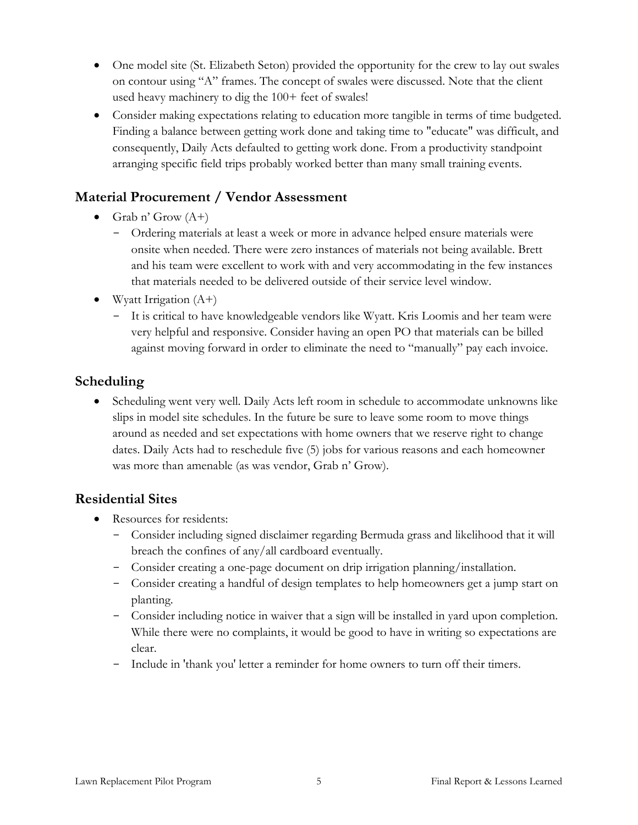- One model site (St. Elizabeth Seton) provided the opportunity for the crew to lay out swales on contour using "A" frames. The concept of swales were discussed. Note that the client used heavy machinery to dig the 100+ feet of swales!
- Consider making expectations relating to education more tangible in terms of time budgeted. Finding a balance between getting work done and taking time to "educate" was difficult, and consequently, Daily Acts defaulted to getting work done. From a productivity standpoint arranging specific field trips probably worked better than many small training events.

## **Material Procurement / Vendor Assessment**

- Grab n' Grow  $(A+)$ 
	- Ordering materials at least a week or more in advance helped ensure materials were onsite when needed. There were zero instances of materials not being available. Brett and his team were excellent to work with and very accommodating in the few instances that materials needed to be delivered outside of their service level window.
- Wyatt Irrigation  $(A+)$ 
	- It is critical to have knowledgeable vendors like Wyatt. Kris Loomis and her team were very helpful and responsive. Consider having an open PO that materials can be billed against moving forward in order to eliminate the need to "manually" pay each invoice.

#### **Scheduling**

• Scheduling went very well. Daily Acts left room in schedule to accommodate unknowns like slips in model site schedules. In the future be sure to leave some room to move things around as needed and set expectations with home owners that we reserve right to change dates. Daily Acts had to reschedule five (5) jobs for various reasons and each homeowner was more than amenable (as was vendor, Grab n' Grow).

#### **Residential Sites**

- Resources for residents:
	- Consider including signed disclaimer regarding Bermuda grass and likelihood that it will breach the confines of any/all cardboard eventually.
	- Consider creating a one-page document on drip irrigation planning/installation.
	- Consider creating a handful of design templates to help homeowners get a jump start on planting.
	- Consider including notice in waiver that a sign will be installed in yard upon completion. While there were no complaints, it would be good to have in writing so expectations are clear.
	- Include in 'thank you' letter a reminder for home owners to turn off their timers.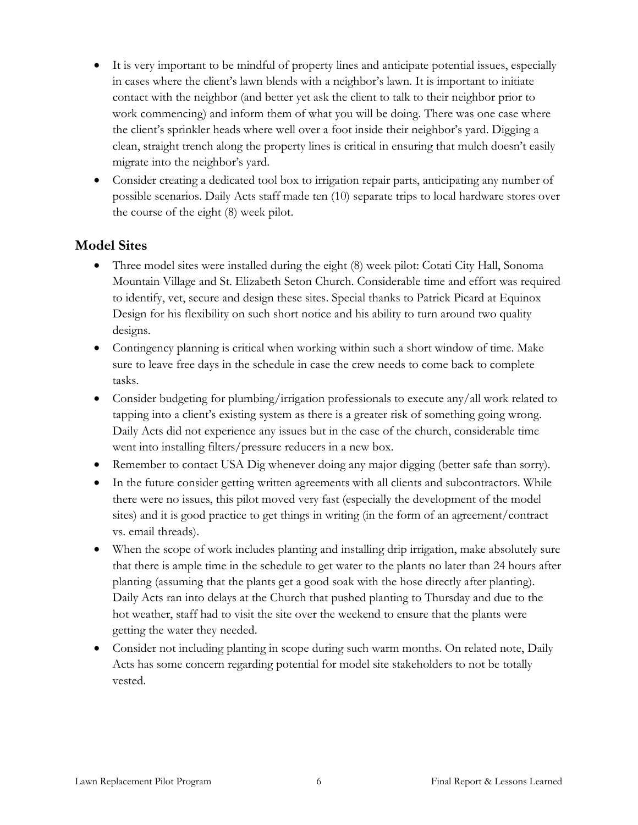- It is very important to be mindful of property lines and anticipate potential issues, especially in cases where the client's lawn blends with a neighbor's lawn. It is important to initiate contact with the neighbor (and better yet ask the client to talk to their neighbor prior to work commencing) and inform them of what you will be doing. There was one case where the client's sprinkler heads where well over a foot inside their neighbor's yard. Digging a clean, straight trench along the property lines is critical in ensuring that mulch doesn't easily migrate into the neighbor's yard.
- Consider creating a dedicated tool box to irrigation repair parts, anticipating any number of possible scenarios. Daily Acts staff made ten (10) separate trips to local hardware stores over the course of the eight (8) week pilot.

#### **Model Sites**

- Three model sites were installed during the eight (8) week pilot: Cotati City Hall, Sonoma Mountain Village and St. Elizabeth Seton Church. Considerable time and effort was required to identify, vet, secure and design these sites. Special thanks to Patrick Picard at Equinox Design for his flexibility on such short notice and his ability to turn around two quality designs.
- Contingency planning is critical when working within such a short window of time. Make sure to leave free days in the schedule in case the crew needs to come back to complete tasks.
- Consider budgeting for plumbing/irrigation professionals to execute any/all work related to tapping into a client's existing system as there is a greater risk of something going wrong. Daily Acts did not experience any issues but in the case of the church, considerable time went into installing filters/pressure reducers in a new box.
- Remember to contact USA Dig whenever doing any major digging (better safe than sorry).
- In the future consider getting written agreements with all clients and subcontractors. While there were no issues, this pilot moved very fast (especially the development of the model sites) and it is good practice to get things in writing (in the form of an agreement/contract vs. email threads).
- When the scope of work includes planting and installing drip irrigation, make absolutely sure that there is ample time in the schedule to get water to the plants no later than 24 hours after planting (assuming that the plants get a good soak with the hose directly after planting). Daily Acts ran into delays at the Church that pushed planting to Thursday and due to the hot weather, staff had to visit the site over the weekend to ensure that the plants were getting the water they needed.
- Consider not including planting in scope during such warm months. On related note, Daily Acts has some concern regarding potential for model site stakeholders to not be totally vested.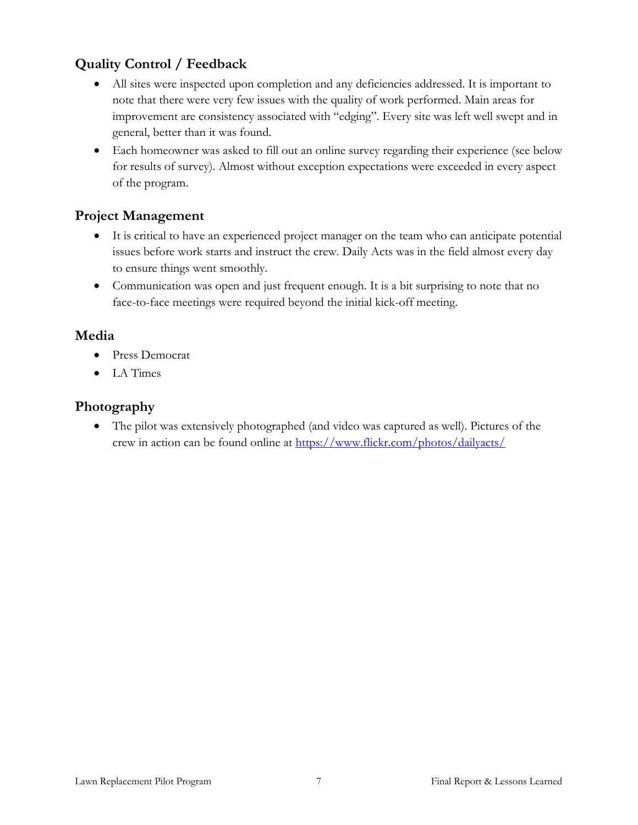## **Quality Control / Feedback**

- All sites were inspected upon completion and any deficiencies addressed. It is important to note that there were very few issues with the quality of work performed. Main areas for improvement are consistency associated with "edging". Every site was left well swept and in general, better than it was found.
- Each homeowner was asked to fill out an online survey regarding their experience (see below for results of survey). Almost without exception expectations were exceeded in every aspect of the program.

## **Project Management**

- It is critical to have an experienced project manager on the team who can anticipate potential issues before work starts and instruct the crew. Daily Acts was in the field almost every day to ensure things went smoothly.
- Communication was open and just frequent enough. It is a bit surprising to note that no face-to-face meetings were required beyond the initial kick-off meeting.

## **Media**

- Press Democrat
- LA Times

#### **Photography**

 The pilot was extensively photographed (and video was captured as well). Pictures of the crew in action can be found online at<https://www.flickr.com/photos/dailyacts/>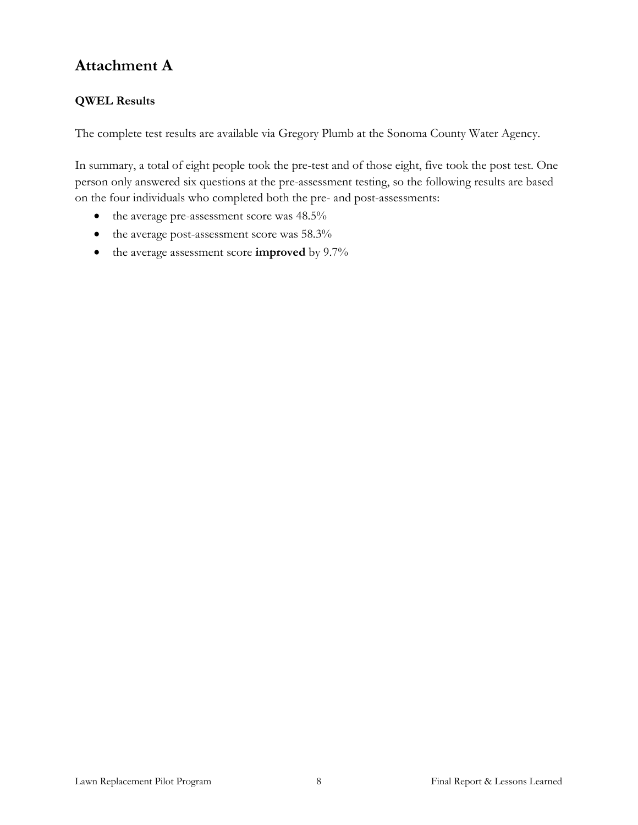# **Attachment A**

#### **QWEL Results**

The complete test results are available via Gregory Plumb at the Sonoma County Water Agency.

In summary, a total of eight people took the pre-test and of those eight, five took the post test. One person only answered six questions at the pre-assessment testing, so the following results are based on the four individuals who completed both the pre- and post-assessments:

- the average pre-assessment score was 48.5%
- the average post-assessment score was 58.3%
- the average assessment score **improved** by 9.7%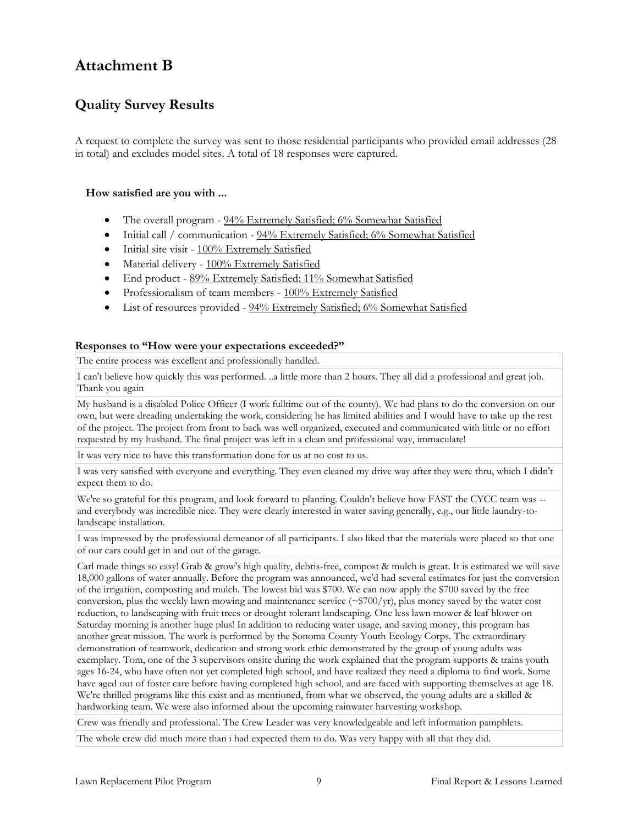## **Attachment B**

## **Quality Survey Results**

A request to complete the survey was sent to those residential participants who provided email addresses (28 in total) and excludes model sites. A total of 18 responses were captured.

#### **How satisfied are you with ...**

- The overall program 94% Extremely Satisfied; 6% Somewhat Satisfied
- Initial call / communication 94% Extremely Satisfied; 6% Somewhat Satisfied
- $\bullet$  Initial site visit  $100\%$  Extremely Satisfied
- Material delivery 100% Extremely Satisfied
- End product 89% Extremely Satisfied; 11% Somewhat Satisfied
- Professionalism of team members 100% Extremely Satisfied
- List of resources provided 94% Extremely Satisfied; 6% Somewhat Satisfied

#### **Responses to "How were your expectations exceeded?"**

The entire process was excellent and professionally handled.

I can't believe how quickly this was performed. ..a little more than 2 hours. They all did a professional and great job. Thank you again

My husband is a disabled Police Officer (I work fulltime out of the county). We had plans to do the conversion on our own, but were dreading undertaking the work, considering he has limited abilities and I would have to take up the rest of the project. The project from front to back was well organized, executed and communicated with little or no effort requested by my husband. The final project was left in a clean and professional way, immaculate!

It was very nice to have this transformation done for us at no cost to us.

I was very satisfied with everyone and everything. They even cleaned my drive way after they were thru, which I didn't expect them to do.

We're so grateful for this program, and look forward to planting. Couldn't believe how FAST the CYCC team was - and everybody was incredible nice. They were clearly interested in water saving generally, e.g., our little laundry-tolandscape installation.

I was impressed by the professional demeanor of all participants. I also liked that the materials were placed so that one of our cars could get in and out of the garage.

Carl made things so easy! Grab & grow's high quality, debris-free, compost & mulch is great. It is estimated we will save 18,000 gallons of water annually. Before the program was announced, we'd had several estimates for just the conversion of the irrigation, composting and mulch. The lowest bid was \$700. We can now apply the \$700 saved by the free conversion, plus the weekly lawn mowing and maintenance service (~\$700/yr), plus money saved by the water cost reduction, to landscaping with fruit trees or drought tolerant landscaping. One less lawn mower & leaf blower on Saturday morning is another huge plus! In addition to reducing water usage, and saving money, this program has another great mission. The work is performed by the Sonoma County Youth Ecology Corps. The extraordinary demonstration of teamwork, dedication and strong work ethic demonstrated by the group of young adults was exemplary. Tom, one of the 3 supervisors onsite during the work explained that the program supports & trains youth ages 16-24, who have often not yet completed high school, and have realized they need a diploma to find work. Some have aged out of foster care before having completed high school, and are faced with supporting themselves at age 18. We're thrilled programs like this exist and as mentioned, from what we observed, the young adults are a skilled & hardworking team. We were also informed about the upcoming rainwater harvesting workshop.

Crew was friendly and professional. The Crew Leader was very knowledgeable and left information pamphlets.

The whole crew did much more than i had expected them to do. Was very happy with all that they did.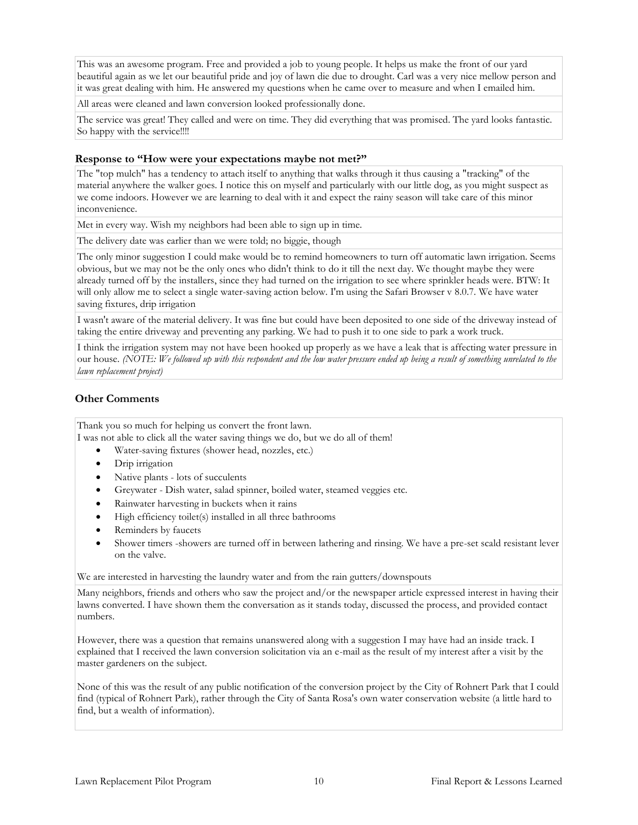This was an awesome program. Free and provided a job to young people. It helps us make the front of our yard beautiful again as we let our beautiful pride and joy of lawn die due to drought. Carl was a very nice mellow person and it was great dealing with him. He answered my questions when he came over to measure and when I emailed him.

All areas were cleaned and lawn conversion looked professionally done.

The service was great! They called and were on time. They did everything that was promised. The yard looks fantastic. So happy with the service!!!!

#### **Response to "How were your expectations maybe not met?"**

The "top mulch" has a tendency to attach itself to anything that walks through it thus causing a "tracking" of the material anywhere the walker goes. I notice this on myself and particularly with our little dog, as you might suspect as we come indoors. However we are learning to deal with it and expect the rainy season will take care of this minor inconvenience.

Met in every way. Wish my neighbors had been able to sign up in time.

The delivery date was earlier than we were told; no biggie, though

The only minor suggestion I could make would be to remind homeowners to turn off automatic lawn irrigation. Seems obvious, but we may not be the only ones who didn't think to do it till the next day. We thought maybe they were already turned off by the installers, since they had turned on the irrigation to see where sprinkler heads were. BTW: It will only allow me to select a single water-saving action below. I'm using the Safari Browser v 8.0.7. We have water saving fixtures, drip irrigation

I wasn't aware of the material delivery. It was fine but could have been deposited to one side of the driveway instead of taking the entire driveway and preventing any parking. We had to push it to one side to park a work truck.

I think the irrigation system may not have been hooked up properly as we have a leak that is affecting water pressure in our house. *(NOTE: We followed up with this respondent and the low water pressure ended up being a result of something unrelated to the lawn replacement project)*

#### **Other Comments**

Thank you so much for helping us convert the front lawn.

I was not able to click all the water saving things we do, but we do all of them!

- Water-saving fixtures (shower head, nozzles, etc.)
- Drip irrigation
- Native plants lots of succulents
- Greywater Dish water, salad spinner, boiled water, steamed veggies etc.
- Rainwater harvesting in buckets when it rains
- High efficiency toilet(s) installed in all three bathrooms
- Reminders by faucets
- Shower timers -showers are turned off in between lathering and rinsing. We have a pre-set scald resistant lever on the valve.

We are interested in harvesting the laundry water and from the rain gutters/downspouts

Many neighbors, friends and others who saw the project and/or the newspaper article expressed interest in having their lawns converted. I have shown them the conversation as it stands today, discussed the process, and provided contact numbers.

However, there was a question that remains unanswered along with a suggestion I may have had an inside track. I explained that I received the lawn conversion solicitation via an e-mail as the result of my interest after a visit by the master gardeners on the subject.

None of this was the result of any public notification of the conversion project by the City of Rohnert Park that I could find (typical of Rohnert Park), rather through the City of Santa Rosa's own water conservation website (a little hard to find, but a wealth of information).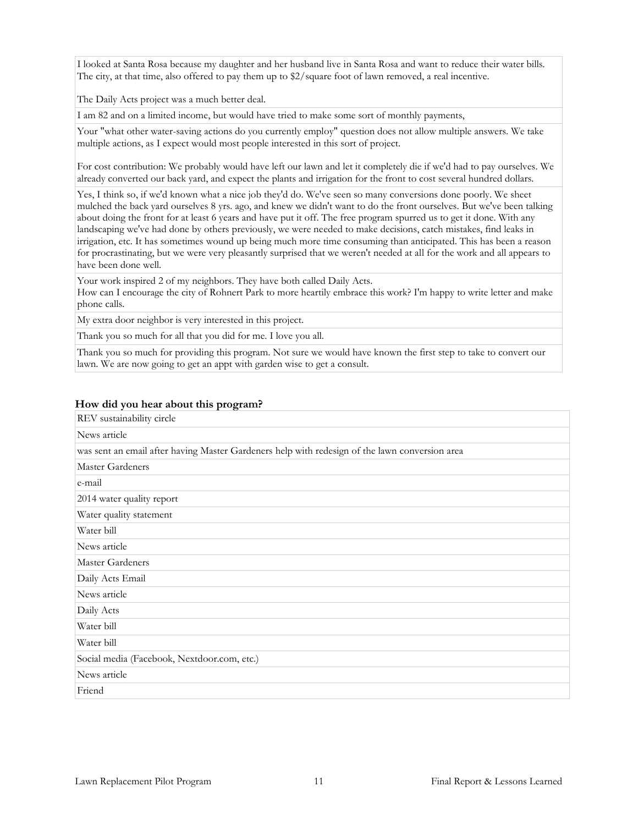I looked at Santa Rosa because my daughter and her husband live in Santa Rosa and want to reduce their water bills. The city, at that time, also offered to pay them up to \$2/square foot of lawn removed, a real incentive.

The Daily Acts project was a much better deal.

I am 82 and on a limited income, but would have tried to make some sort of monthly payments,

Your "what other water-saving actions do you currently employ" question does not allow multiple answers. We take multiple actions, as I expect would most people interested in this sort of project.

For cost contribution: We probably would have left our lawn and let it completely die if we'd had to pay ourselves. We already converted our back yard, and expect the plants and irrigation for the front to cost several hundred dollars.

Yes, I think so, if we'd known what a nice job they'd do. We've seen so many conversions done poorly. We sheet mulched the back yard ourselves 8 yrs. ago, and knew we didn't want to do the front ourselves. But we've been talking about doing the front for at least 6 years and have put it off. The free program spurred us to get it done. With any landscaping we've had done by others previously, we were needed to make decisions, catch mistakes, find leaks in irrigation, etc. It has sometimes wound up being much more time consuming than anticipated. This has been a reason for procrastinating, but we were very pleasantly surprised that we weren't needed at all for the work and all appears to have been done well.

Your work inspired 2 of my neighbors. They have both called Daily Acts. How can I encourage the city of Rohnert Park to more heartily embrace this work? I'm happy to write letter and make phone calls.

My extra door neighbor is very interested in this project.

Thank you so much for all that you did for me. I love you all.

Thank you so much for providing this program. Not sure we would have known the first step to take to convert our lawn. We are now going to get an appt with garden wise to get a consult.

| REV sustainability circle                                                                      |  |  |  |  |  |  |
|------------------------------------------------------------------------------------------------|--|--|--|--|--|--|
| News article                                                                                   |  |  |  |  |  |  |
| was sent an email after having Master Gardeners help with redesign of the lawn conversion area |  |  |  |  |  |  |
| <b>Master Gardeners</b>                                                                        |  |  |  |  |  |  |
| e-mail                                                                                         |  |  |  |  |  |  |
| 2014 water quality report                                                                      |  |  |  |  |  |  |
| Water quality statement                                                                        |  |  |  |  |  |  |
| Water bill                                                                                     |  |  |  |  |  |  |
| News article                                                                                   |  |  |  |  |  |  |
| Master Gardeners                                                                               |  |  |  |  |  |  |
| Daily Acts Email                                                                               |  |  |  |  |  |  |
| News article                                                                                   |  |  |  |  |  |  |
| Daily Acts                                                                                     |  |  |  |  |  |  |
| Water bill                                                                                     |  |  |  |  |  |  |
| Water bill                                                                                     |  |  |  |  |  |  |
| Social media (Facebook, Nextdoor.com, etc.)                                                    |  |  |  |  |  |  |
| News article                                                                                   |  |  |  |  |  |  |
| Friend                                                                                         |  |  |  |  |  |  |

#### **How did you hear about this program?**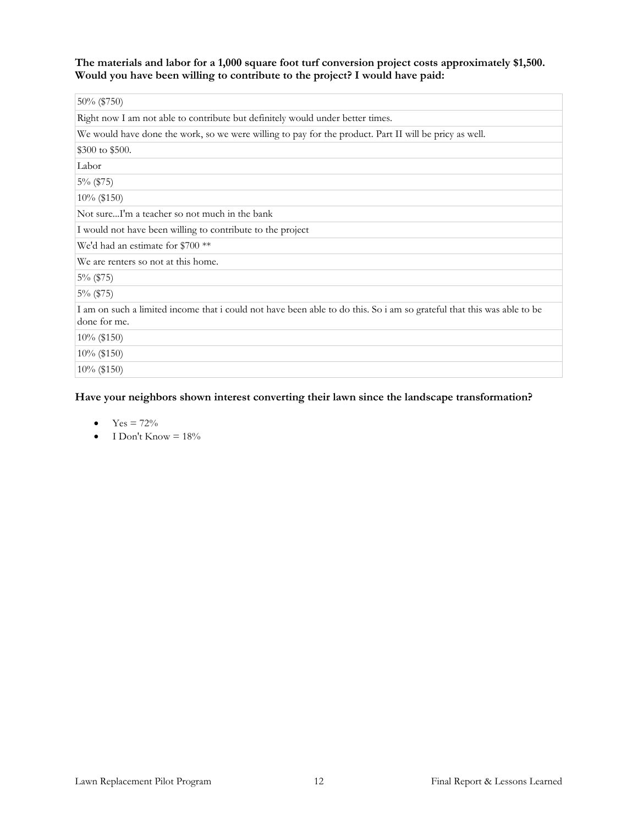**The materials and labor for a 1,000 square foot turf conversion project costs approximately \$1,500. Would you have been willing to contribute to the project? I would have paid:**

| 50% (\$750)                                                                                                                            |
|----------------------------------------------------------------------------------------------------------------------------------------|
| Right now I am not able to contribute but definitely would under better times.                                                         |
| We would have done the work, so we were willing to pay for the product. Part II will be pricy as well.                                 |
| \$300 to \$500.                                                                                                                        |
| Labor                                                                                                                                  |
| 5% (\$75)                                                                                                                              |
| 10% (\$150)                                                                                                                            |
| Not sureI'm a teacher so not much in the bank                                                                                          |
| I would not have been willing to contribute to the project                                                                             |
| We'd had an estimate for \$700 <sup>**</sup>                                                                                           |
| We are renters so not at this home.                                                                                                    |
| $5\%$ (\$75)                                                                                                                           |
| $5\%$ (\$75)                                                                                                                           |
| I am on such a limited income that i could not have been able to do this. So i am so grateful that this was able to be<br>done for me. |
| 10% (\$150)                                                                                                                            |
| $10\%$ (\$150)                                                                                                                         |
| 10% (\$150)                                                                                                                            |

#### **Have your neighbors shown interest converting their lawn since the landscape transformation?**

- $Yes = 72\%$
- $I$  Don't Know =  $18\%$